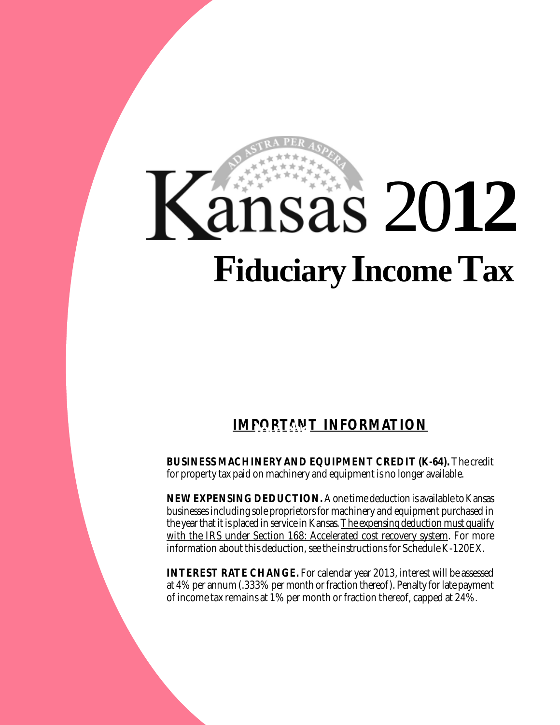# 20**12 FiduciaryIncome Tax**

## **IMPORTANT INFORMATION**

**BUSINESS MACHINERY AND EQUIPMENT CREDIT (K-64).** The credit for property tax paid on machinery and equipment is no longer available.

**NEW EXPENSING DEDUCTION.** A one time deduction is available to Kansas businesses including sole proprietors for machinery and equipment purchased in the year that it is placed in service in Kansas. The expensing deduction must qualify with the IRS under Section 168: Accelerated cost recovery system. For more information about this deduction, see the instructions for Schedule K-120EX.

**INTEREST RATE CHANGE.** For calendar year 2013, interest will be assessed at 4% per annum (.333% per month or fraction thereof). Penalty for late payment of income tax remains at 1% per month or fraction thereof, capped at 24%.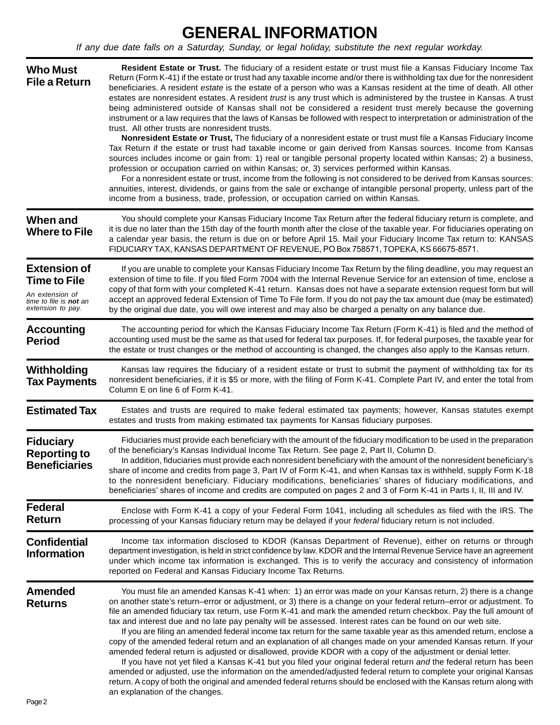## **GENERAL INFORMATION**

*If any due date falls on a Saturday, Sunday, or legal holiday, substitute the next regular workday.* 

| <b>Who Must</b><br><b>File a Return</b>                                                                             | Resident Estate or Trust. The fiduciary of a resident estate or trust must file a Kansas Fiduciary Income Tax<br>Return (Form K-41) if the estate or trust had any taxable income and/or there is withholding tax due for the nonresident<br>beneficiaries. A resident estate is the estate of a person who was a Kansas resident at the time of death. All other<br>estates are nonresident estates. A resident trust is any trust which is administered by the trustee in Kansas. A trust<br>being administered outside of Kansas shall not be considered a resident trust merely because the governing<br>instrument or a law requires that the laws of Kansas be followed with respect to interpretation or administration of the<br>trust. All other trusts are nonresident trusts.<br>Nonresident Estate or Trust, The fiduciary of a nonresident estate or trust must file a Kansas Fiduciary Income<br>Tax Return if the estate or trust had taxable income or gain derived from Kansas sources. Income from Kansas<br>sources includes income or gain from: 1) real or tangible personal property located within Kansas; 2) a business,<br>profession or occupation carried on within Kansas; or, 3) services performed within Kansas.<br>For a nonresident estate or trust, income from the following is not considered to be derived from Kansas sources:<br>annuities, interest, dividends, or gains from the sale or exchange of intangible personal property, unless part of the<br>income from a business, trade, profession, or occupation carried on within Kansas. |
|---------------------------------------------------------------------------------------------------------------------|--------------------------------------------------------------------------------------------------------------------------------------------------------------------------------------------------------------------------------------------------------------------------------------------------------------------------------------------------------------------------------------------------------------------------------------------------------------------------------------------------------------------------------------------------------------------------------------------------------------------------------------------------------------------------------------------------------------------------------------------------------------------------------------------------------------------------------------------------------------------------------------------------------------------------------------------------------------------------------------------------------------------------------------------------------------------------------------------------------------------------------------------------------------------------------------------------------------------------------------------------------------------------------------------------------------------------------------------------------------------------------------------------------------------------------------------------------------------------------------------------------------------------------------------------------------------------------------|
| When and<br><b>Where to File</b>                                                                                    | You should complete your Kansas Fiduciary Income Tax Return after the federal fiduciary return is complete, and<br>it is due no later than the 15th day of the fourth month after the close of the taxable year. For fiduciaries operating on<br>a calendar year basis, the return is due on or before April 15. Mail your Fiduciary Income Tax return to: KANSAS<br>FIDUCIARY TAX, KANSAS DEPARTMENT OF REVENUE, PO Box 758571, TOPEKA, KS 66675-8571.                                                                                                                                                                                                                                                                                                                                                                                                                                                                                                                                                                                                                                                                                                                                                                                                                                                                                                                                                                                                                                                                                                                              |
| <b>Extension of</b><br><b>Time to File</b><br>An extension of<br>time to file is <b>not</b> an<br>extension to pay. | If you are unable to complete your Kansas Fiduciary Income Tax Return by the filing deadline, you may request an<br>extension of time to file. If you filed Form 7004 with the Internal Revenue Service for an extension of time, enclose a<br>copy of that form with your completed K-41 return. Kansas does not have a separate extension request form but will<br>accept an approved federal Extension of Time To File form. If you do not pay the tax amount due (may be estimated)<br>by the original due date, you will owe interest and may also be charged a penalty on any balance due.                                                                                                                                                                                                                                                                                                                                                                                                                                                                                                                                                                                                                                                                                                                                                                                                                                                                                                                                                                                     |
| <b>Accounting</b><br><b>Period</b>                                                                                  | The accounting period for which the Kansas Fiduciary Income Tax Return (Form K-41) is filed and the method of<br>accounting used must be the same as that used for federal tax purposes. If, for federal purposes, the taxable year for<br>the estate or trust changes or the method of accounting is changed, the changes also apply to the Kansas return.                                                                                                                                                                                                                                                                                                                                                                                                                                                                                                                                                                                                                                                                                                                                                                                                                                                                                                                                                                                                                                                                                                                                                                                                                          |
| Withholding<br><b>Tax Payments</b>                                                                                  | Kansas law requires the fiduciary of a resident estate or trust to submit the payment of withholding tax for its<br>nonresident beneficiaries, if it is \$5 or more, with the filing of Form K-41. Complete Part IV, and enter the total from<br>Column E on line 6 of Form K-41.                                                                                                                                                                                                                                                                                                                                                                                                                                                                                                                                                                                                                                                                                                                                                                                                                                                                                                                                                                                                                                                                                                                                                                                                                                                                                                    |
| <b>Estimated Tax</b>                                                                                                | Estates and trusts are required to make federal estimated tax payments; however, Kansas statutes exempt<br>estates and trusts from making estimated tax payments for Kansas fiduciary purposes.                                                                                                                                                                                                                                                                                                                                                                                                                                                                                                                                                                                                                                                                                                                                                                                                                                                                                                                                                                                                                                                                                                                                                                                                                                                                                                                                                                                      |
| <b>Fiduciary</b><br><b>Reporting to</b><br><b>Beneficiaries</b>                                                     | Fiduciaries must provide each beneficiary with the amount of the fiduciary modification to be used in the preparation<br>of the beneficiary's Kansas Individual Income Tax Return. See page 2, Part II, Column D.<br>In addition, fiduciaries must provide each nonresident beneficiary with the amount of the nonresident beneficiary's<br>share of income and credits from page 3, Part IV of Form K-41, and when Kansas tax is withheld, supply Form K-18<br>to the nonresident beneficiary. Fiduciary modifications, beneficiaries' shares of fiduciary modifications, and<br>beneficiaries' shares of income and credits are computed on pages 2 and 3 of Form K-41 in Parts I, II, III and IV.                                                                                                                                                                                                                                                                                                                                                                                                                                                                                                                                                                                                                                                                                                                                                                                                                                                                                 |
| <b>Federal</b><br><b>Return</b>                                                                                     | Enclose with Form K-41 a copy of your Federal Form 1041, including all schedules as filed with the IRS. The<br>processing of your Kansas fiduciary return may be delayed if your federal fiduciary return is not included.                                                                                                                                                                                                                                                                                                                                                                                                                                                                                                                                                                                                                                                                                                                                                                                                                                                                                                                                                                                                                                                                                                                                                                                                                                                                                                                                                           |
| <b>Confidential</b><br><b>Information</b>                                                                           | Income tax information disclosed to KDOR (Kansas Department of Revenue), either on returns or through<br>department investigation, is held in strict confidence by law. KDOR and the Internal Revenue Service have an agreement<br>under which income tax information is exchanged. This is to verify the accuracy and consistency of information<br>reported on Federal and Kansas Fiduciary Income Tax Returns.                                                                                                                                                                                                                                                                                                                                                                                                                                                                                                                                                                                                                                                                                                                                                                                                                                                                                                                                                                                                                                                                                                                                                                    |
| <b>Amended</b><br><b>Returns</b>                                                                                    | You must file an amended Kansas K-41 when: 1) an error was made on your Kansas return, 2) there is a change<br>on another state's return-error or adjustment, or 3) there is a change on your federal return-error or adjustment. To<br>file an amended fiduciary tax return, use Form K-41 and mark the amended return checkbox. Pay the full amount of<br>tax and interest due and no late pay penalty will be assessed. Interest rates can be found on our web site.<br>If you are filing an amended federal income tax return for the same taxable year as this amended return, enclose a<br>copy of the amended federal return and an explanation of all changes made on your amended Kansas return. If your<br>amended federal return is adjusted or disallowed, provide KDOR with a copy of the adjustment or denial letter.<br>If you have not yet filed a Kansas K-41 but you filed your original federal return and the federal return has been<br>amended or adjusted, use the information on the amended/adjusted federal return to complete your original Kansas<br>return. A copy of both the original and amended federal returns should be enclosed with the Kansas return along with<br>an explanation of the changes.                                                                                                                                                                                                                                                                                                                                              |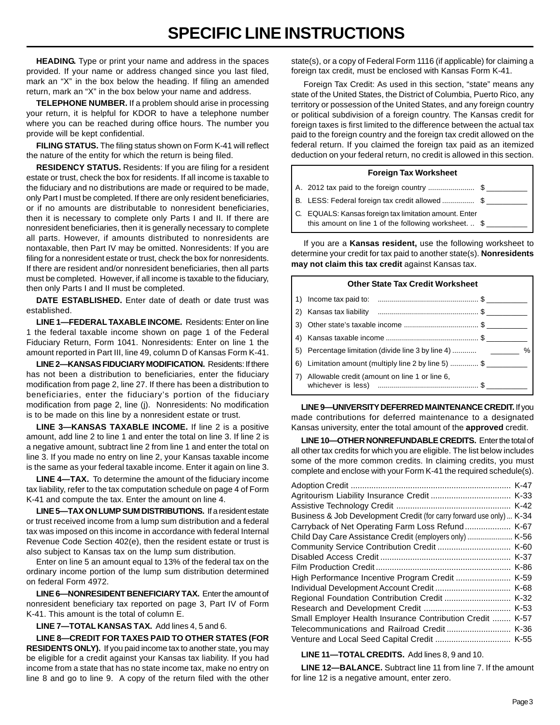## **SPECIFIC LINE INSTRUCTIONS**

**HEADING.** Type or print your name and address in the spaces provided. If your name or address changed since you last filed, mark an "X" in the box below the heading. If filing an amended return, mark an "X" in the box below your name and address.

**TELEPHONE NUMBER.** If a problem should arise in processing your return, it is helpful for KDOR to have a telephone number where you can be reached during office hours. The number you provide will be kept confidential.

**FILING STATUS.** The filing status shown on Form K-41 will reflect the nature of the entity for which the return is being filed.

**RESIDENCY STATUS.** Residents: If you are filing for a resident estate or trust, check the box for residents. If all income is taxable to the fiduciary and no distributions are made or required to be made, only Part I must be completed. If there are only resident beneficiaries, or if no amounts are distributable to nonresident beneficiaries, then it is necessary to complete only Parts I and II. If there are nonresident beneficiaries, then it is generally necessary to complete all parts. However, if amounts distributed to nonresidents are nontaxable, then Part IV may be omitted. Nonresidents: If you are filing for a nonresident estate or trust, check the box for nonresidents. If there are resident and/or nonresident beneficiaries, then all parts must be completed. However, if all income is taxable to the fiduciary, then only Parts I and II must be completed.

**DATE ESTABLISHED.** Enter date of death or date trust was established.

**LINE 1—FEDERAL TAXABLE INCOME.** Residents: Enter on line 1 the federal taxable income shown on page 1 of the Federal Fiduciary Return, Form 1041. Nonresidents: Enter on line 1 the amount reported in Part III, line 49, column D of Kansas Form K-41.

**LINE 2—KANSAS FIDUCIARY MODIFICATION.** Residents: If there has not been a distribution to beneficiaries, enter the fiduciary modification from page 2, line 27. If there has been a distribution to beneficiaries, enter the fiduciary's portion of the fiduciary modification from page 2, line (j). Nonresidents: No modification is to be made on this line by a nonresident estate or trust.

**LINE 3—KANSAS TAXABLE INCOME.** If line 2 is a positive amount, add line 2 to line 1 and enter the total on line 3. If line 2 is a negative amount, subtract line 2 from line 1 and enter the total on line 3. If you made no entry on line 2, your Kansas taxable income is the same as your federal taxable income. Enter it again on line 3.

**LINE 4—TAX.** To determine the amount of the fiduciary income tax liability, refer to the tax computation schedule on page 4 of Form K-41 and compute the tax. Enter the amount on line 4.

**LINE 5—TAX ON LUMP SUM DISTRIBUTIONS.** If a resident estate or trust received income from a lump sum distribution and a federal tax was imposed on this income in accordance with federal Internal Revenue Code Section 402(e), then the resident estate or trust is also subject to Kansas tax on the lump sum distribution.

Enter on line 5 an amount equal to 13% of the federal tax on the ordinary income portion of the lump sum distribution determined on federal Form 4972.

**LINE 6—NONRESIDENT BENEFICIARY TAX.** Enter the amount of nonresident beneficiary tax reported on page 3, Part IV of Form K-41. This amount is the total of column E.

**LINE 7—TOTAL KANSAS TAX.** Add lines 4, 5 and 6.

**LINE 8—CREDIT FOR TAXES PAID TO OTHER STATES (FOR RESIDENTS ONLY).** If you paid income tax to another state, you may be eligible for a credit against your Kansas tax liability. If you had income from a state that has no state income tax, make no entry on line 8 and go to line 9. A copy of the return filed with the other

state(s), or a copy of Federal Form 1116 (if applicable) for claiming a foreign tax credit, must be enclosed with Kansas Form K-41.

Foreign Tax Credit: As used in this section, "state" means any state of the United States, the District of Columbia, Puerto Rico, any territory or possession of the United States, and any foreign country or political subdivision of a foreign country. The Kansas credit for foreign taxes is first limited to the difference between the actual tax paid to the foreign country and the foreign tax credit allowed on the federal return. If you claimed the foreign tax paid as an itemized deduction on your federal return, no credit is allowed in this section.

## **Foreign Tax Worksheet**  A. 2012 tax paid to the foreign country ............................\$ B. LESS: Federal foreign tax credit allowed .................. \$ C. EQUALS: Kansas foreign tax limitation amount. Enter this amount on line 1 of the following worksheet.  $\ldots$  \$

If you are a **Kansas resident,** use the following worksheet to determine your credit for tax paid to another state(s). **Nonresidents may not claim this tax credit** against Kansas tax.

| <b>Other State Tax Credit Worksheet</b> |                                                      |  |  |  |
|-----------------------------------------|------------------------------------------------------|--|--|--|
| 1)                                      |                                                      |  |  |  |
| 2)                                      |                                                      |  |  |  |
|                                         |                                                      |  |  |  |
| 4)                                      |                                                      |  |  |  |
|                                         |                                                      |  |  |  |
|                                         | 6) Limitation amount (multiply line 2 by line 5)  \$ |  |  |  |
| 7)                                      | Allowable credit (amount on line 1 or line 6,        |  |  |  |

**LINE 9—UNIVERSITY DEFERRED MAINTENANCE CREDIT.** If you made contributions for deferred maintenance to a designated Kansas university, enter the total amount of the **approved** credit.

**LINE 10—OTHER NONREFUNDABLE CREDITS.** Enter the total of all other tax credits for which you are eligible. The list below includes some of the more common credits. In claiming credits, you must complete and enclose with your Form K-41 the required schedule(s).

|                                                                      | $K-47$ |
|----------------------------------------------------------------------|--------|
|                                                                      |        |
|                                                                      | $K-42$ |
| Business & Job Development Credit (for carry forward use only)  K-34 |        |
| Carryback of Net Operating Farm Loss Refund                          | K-67   |
|                                                                      |        |
|                                                                      |        |
|                                                                      | $K-37$ |
|                                                                      | K-86   |
| High Performance Incentive Program Credit                            | $K-59$ |
| Individual Development Account Credit                                | K-68   |
|                                                                      | $K-32$ |
|                                                                      | $K-53$ |
| Small Employer Health Insurance Contribution Credit                  | $K-57$ |
|                                                                      |        |
|                                                                      |        |

**LINE 11—TOTAL CREDITS.** Add lines 8, 9 and 10.

**LINE 12—BALANCE.** Subtract line 11 from line 7. If the amount for line 12 is a negative amount, enter zero.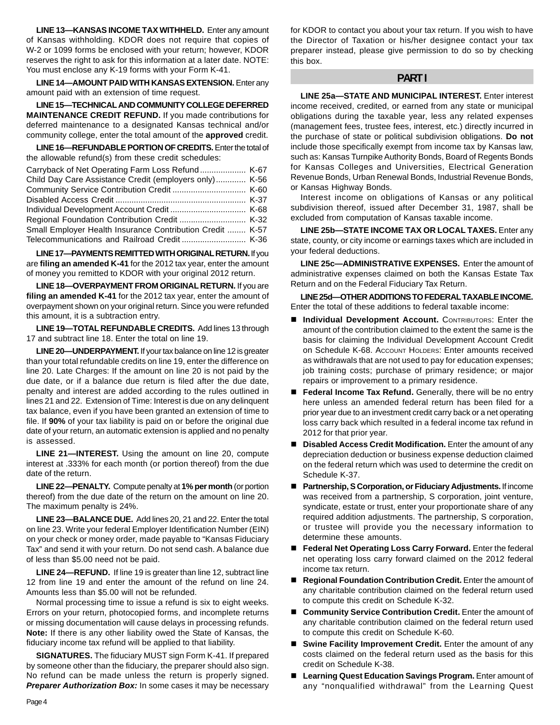**LINE 13—KANSAS INCOME TAX WITHHELD.** Enter any amount of Kansas withholding. KDOR does not require that copies of W-2 or 1099 forms be enclosed with your return; however, KDOR reserves the right to ask for this information at a later date. NOTE: You must enclose any K-19 forms with your Form K-41.

**LINE 14—AMOUNT PAID WITH KANSAS EXTENSION.** Enter any amount paid with an extension of time request.

**LINE 15—TECHNICAL AND COMMUNITY COLLEGE DEFERRED MAINTENANCE CREDIT REFUND.** If you made contributions for deferred maintenance to a designated Kansas technical and/or community college, enter the total amount of the **approved** credit.

**LINE 16—REFUNDABLE PORTION OF CREDITS.** Enter the total of the allowable refund(s) from these credit schedules:

| Carryback of Net Operating Farm Loss Refund K-67          |  |
|-----------------------------------------------------------|--|
| Child Day Care Assistance Credit (employers only) K-56    |  |
|                                                           |  |
|                                                           |  |
|                                                           |  |
|                                                           |  |
| Small Employer Health Insurance Contribution Credit  K-57 |  |
|                                                           |  |

**LINE 17—PAYMENTS REMITTED WITH ORIGINAL RETURN.** If you are **filing an amended K-41** for the 2012 tax year, enter the amount of money you remitted to KDOR with your original 2012 return.

**LINE 18—OVERPAYMENT FROM ORIGINAL RETURN.** If you are **filing an amended K-41** for the 2012 tax year, enter the amount of overpayment shown on your original return. Since you were refunded this amount, it is a subtraction entry.

**LINE 19—TOTAL REFUNDABLE CREDITS.** Add lines 13 through 17 and subtract line 18. Enter the total on line 19.

**LINE 20—UNDERPAYMENT.** If your tax balance on line 12 is greater than your total refundable credits on line 19, enter the difference on line 20. Late Charges: If the amount on line 20 is not paid by the due date, or if a balance due return is filed after the due date, penalty and interest are added according to the rules outlined in lines 21 and 22. Extension of Time: Interest is due on any delinquent tax balance, even if you have been granted an extension of time to file. If **90%** of your tax liability is paid on or before the original due date of your return, an automatic extension is applied and no penalty is assessed.

**LINE 21—INTEREST.** Using the amount on line 20, compute interest at .333% for each month (or portion thereof) from the due date of the return.

**LINE 22—PENALTY.** Compute penalty at **1% per month** (or portion thereof) from the due date of the return on the amount on line 20. The maximum penalty is 24%.

**LINE 23—BALANCE DUE.** Add lines 20, 21 and 22. Enter the total on line 23. Write your federal Employer Identification Number (EIN) on your check or money order, made payable to "Kansas Fiduciary Tax" and send it with your return. Do not send cash. A balance due of less than \$5.00 need not be paid.

**LINE 24—REFUND.** If line 19 is greater than line 12, subtract line 12 from line 19 and enter the amount of the refund on line 24. Amounts less than \$5.00 will not be refunded.

Normal processing time to issue a refund is six to eight weeks. Errors on your return, photocopied forms, and incomplete returns or missing documentation will cause delays in processing refunds. **Note:** If there is any other liability owed the State of Kansas, the fiduciary income tax refund will be applied to that liability.

**SIGNATURES.** The fiduciary MUST sign Form K-41. If prepared by someone other than the fiduciary, the preparer should also sign. No refund can be made unless the return is properly signed. **Preparer Authorization Box:** In some cases it may be necessary for KDOR to contact you about your tax return. If you wish to have the Director of Taxation or his/her designee contact your tax preparer instead, please give permission to do so by checking this box.

#### **PART I**

**LINE 25a—STATE AND MUNICIPAL INTEREST.** Enter interest income received, credited, or earned from any state or municipal obligations during the taxable year, less any related expenses (management fees, trustee fees, interest, etc.) directly incurred in the purchase of state or political subdivision obligations. **Do not**  include those specifically exempt from income tax by Kansas law, such as: Kansas Turnpike Authority Bonds, Board of Regents Bonds for Kansas Colleges and Universities, Electrical Generation Revenue Bonds, Urban Renewal Bonds, Industrial Revenue Bonds, or Kansas Highway Bonds.

Interest income on obligations of Kansas or any political subdivision thereof, issued after December 31, 1987, shall be excluded from computation of Kansas taxable income.

**LINE 25b—STATE INCOME TAX OR LOCAL TAXES.** Enter any state, county, or city income or earnings taxes which are included in your federal deductions.

**LINE 25c—ADMINISTRATIVE EXPENSES.** Enter the amount of administrative expenses claimed on both the Kansas Estate Tax Return and on the Federal Fiduciary Tax Return.

**LINE 25d—OTHER ADDITIONS TO FEDERAL TAXABLE INCOME.**  Enter the total of these additions to federal taxable income:

- Individual Development Account. CONTRIBUTORS: Enter the amount of the contribution claimed to the extent the same is the basis for claiming the Individual Development Account Credit on Schedule K-68. ACCOUNT HOLDERS: Enter amounts received as withdrawals that are not used to pay for education expenses; job training costs; purchase of primary residence; or major repairs or improvement to a primary residence.
- **Federal Income Tax Refund.** Generally, there will be no entry here unless an amended federal return has been filed for a prior year due to an investment credit carry back or a net operating loss carry back which resulted in a federal income tax refund in 2012 for that prior year.
- **Disabled Access Credit Modification.** Enter the amount of any depreciation deduction or business expense deduction claimed on the federal return which was used to determine the credit on Schedule K-37.
- **Partnership, S Corporation, or Fiduciary Adjustments.** If income was received from a partnership, S corporation, joint venture, syndicate, estate or trust, enter your proportionate share of any required addition adjustments. The partnership, S corporation, or trustee will provide you the necessary information to determine these amounts.
- **Federal Net Operating Loss Carry Forward.** Enter the federal net operating loss carry forward claimed on the 2012 federal income tax return.
- **Regional Foundation Contribution Credit.** Enter the amount of any charitable contribution claimed on the federal return used to compute this credit on Schedule K-32.
- **Community Service Contribution Credit.** Enter the amount of any charitable contribution claimed on the federal return used to compute this credit on Schedule K-60.
- Swine Facility Improvement Credit. Enter the amount of any costs claimed on the federal return used as the basis for this credit on Schedule K-38.
- Learning Quest Education Savings Program. Enter amount of any "nonqualified withdrawal" from the Learning Quest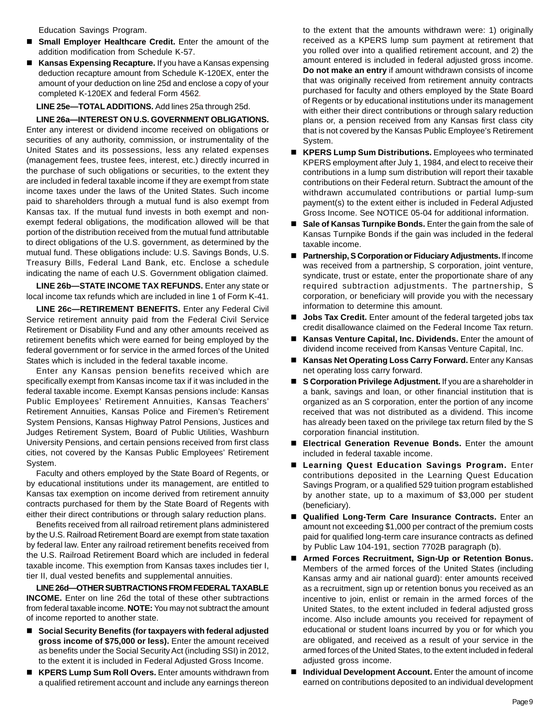Education Savings Program.

- Small Employer Healthcare Credit. Enter the amount of the addition modification from Schedule K-57.
- Kansas Expensing Recapture. If you have a Kansas expensing deduction recapture amount from Schedule K-120EX, enter the amount of your deduction on line 25d and enclose a copy of your completed K-120EX and federal Form 4562*.*

**LINE 25e—TOTAL ADDITIONS.** Add lines 25a through 25d.

**LINE 26a—INTEREST ON U.S. GOVERNMENT OBLIGATIONS.**  Enter any interest or dividend income received on obligations or securities of any authority, commission, or instrumentality of the United States and its possessions, less any related expenses (management fees, trustee fees, interest, etc.) directly incurred in the purchase of such obligations or securities, to the extent they are included in federal taxable income if they are exempt from state income taxes under the laws of the United States. Such income paid to shareholders through a mutual fund is also exempt from Kansas tax. If the mutual fund invests in both exempt and nonexempt federal obligations, the modification allowed will be that portion of the distribution received from the mutual fund attributable to direct obligations of the U.S. government, as determined by the mutual fund. These obligations include: U.S. Savings Bonds, U.S. Treasury Bills, Federal Land Bank, etc. Enclose a schedule indicating the name of each U.S. Government obligation claimed.

**LINE 26b—STATE INCOME TAX REFUNDS.** Enter any state or local income tax refunds which are included in line 1 of Form K-41.

**LINE 26c-RETIREMENT BENEFITS.** Enter any Federal Civil Service retirement annuity paid from the Federal Civil Service Retirement or Disability Fund and any other amounts received as retirement benefits which were earned for being employed by the federal government or for service in the armed forces of the United States which is included in the federal taxable income.

Enter any Kansas pension benefits received which are specifically exempt from Kansas income tax if it was included in the federal taxable income. Exempt Kansas pensions include: Kansas Public Employees' Retirement Annuities, Kansas Teachers' Retirement Annuities, Kansas Police and Firemen's Retirement System Pensions, Kansas Highway Patrol Pensions, Justices and Judges Retirement System, Board of Public Utilities, Washburn University Pensions, and certain pensions received from first class cities, not covered by the Kansas Public Employees' Retirement System.

Faculty and others employed by the State Board of Regents, or by educational institutions under its management, are entitled to Kansas tax exemption on income derived from retirement annuity contracts purchased for them by the State Board of Regents with either their direct contributions or through salary reduction plans.

Benefits received from all railroad retirement plans administered by the U.S. Railroad Retirement Board are exempt from state taxation by federal law. Enter any railroad retirement benefits received from the U.S. Railroad Retirement Board which are included in federal taxable income. This exemption from Kansas taxes includes tier I, tier II, dual vested benefits and supplemental annuities.

**LINE 26d—OTHER SUBTRACTIONS FROM FEDERAL TAXABLE INCOME.** Enter on line 26d the total of these other subtractions from federal taxable income. **NOTE:** You may not subtract the amount of income reported to another state.

- Social Security Benefits (for taxpayers with federal adjusted **gross income of \$75,000 or less).** Enter the amount received as benefits under the Social Security Act (including SSI) in 2012, to the extent it is included in Federal Adjusted Gross Income.
- **KPERS Lump Sum Roll Overs.** Enter amounts withdrawn from a qualified retirement account and include any earnings thereon

to the extent that the amounts withdrawn were: 1) originally received as a KPERS lump sum payment at retirement that you rolled over into a qualified retirement account, and 2) the amount entered is included in federal adjusted gross income. **Do not make an entry** if amount withdrawn consists of income that was originally received from retirement annuity contracts purchased for faculty and others employed by the State Board of Regents or by educational institutions under its management with either their direct contributions or through salary reduction plans or, a pension received from any Kansas first class city that is not covered by the Kansas Public Employee's Retirement System.

- **KPERS Lump Sum Distributions.** Employees who terminated KPERS employment after July 1, 1984, and elect to receive their contributions in a lump sum distribution will report their taxable contributions on their Federal return. Subtract the amount of the withdrawn accumulated contributions or partial lump-sum payment(s) to the extent either is included in Federal Adjusted Gross Income. See NOTICE 05-04 for additional information.
- **Sale of Kansas Turnpike Bonds.** Enter the gain from the sale of Kansas Turnpike Bonds if the gain was included in the federal taxable income.
- **Partnership, S Corporation or Fiduciary Adjustments.** If income was received from a partnership, S corporation, joint venture, syndicate, trust or estate, enter the proportionate share of any required subtraction adjustments. The partnership, S corporation, or beneficiary will provide you with the necessary information to determine this amount.
- **Jobs Tax Credit.** Enter amount of the federal targeted jobs tax credit disallowance claimed on the Federal Income Tax return.
- Kansas Venture Capital, Inc. Dividends. Enter the amount of dividend income received from Kansas Venture Capital, Inc.
- Kansas Net Operating Loss Carry Forward. Enter any Kansas net operating loss carry forward.
- S Corporation Privilege Adjustment. If you are a shareholder in a bank, savings and loan, or other financial institution that is organized as an S corporation, enter the portion of any income received that was not distributed as a dividend. This income has already been taxed on the privilege tax return filed by the S corporation financial institution.
- Electrical Generation Revenue Bonds. Enter the amount included in federal taxable income.
- **Learning Quest Education Savings Program.** Enter contributions deposited in the Learning Quest Education Savings Program, or a qualified 529 tuition program established by another state, up to a maximum of \$3,000 per student (beneficiary).
- **Qualified Long-Term Care Insurance Contracts.** Enter an amount not exceeding \$1,000 per contract of the premium costs paid for qualified long-term care insurance contracts as defined by Public Law 104-191, section 7702B paragraph (b).
- **Armed Forces Recruitment, Sign-Up or Retention Bonus.**  Members of the armed forces of the United States (including Kansas army and air national guard): enter amounts received as a recruitment, sign up or retention bonus you received as an incentive to join, enlist or remain in the armed forces of the United States, to the extent included in federal adjusted gross income. Also include amounts you received for repayment of educational or student loans incurred by you or for which you are obligated, and received as a result of your service in the armed forces of the United States, to the extent included in federal adjusted gross income.
- Individual Development Account. Enter the amount of income earned on contributions deposited to an individual development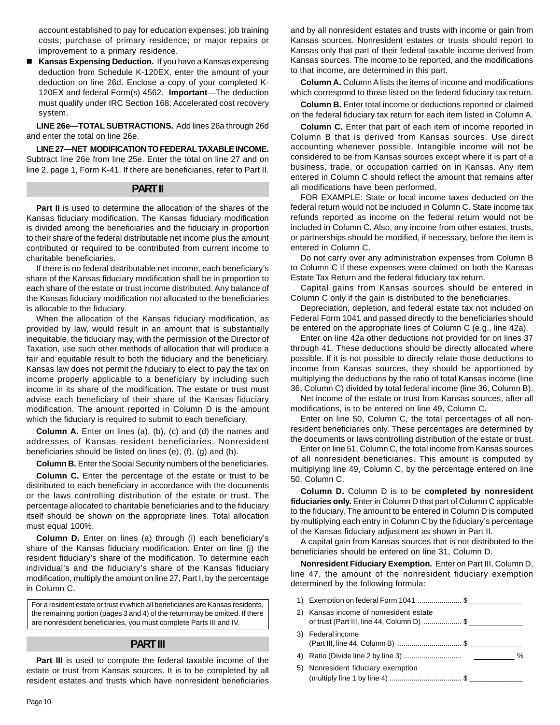account established to pay for education expenses; job training costs; purchase of primary residence; or major repairs or improvement to a primary residence.

■ Kansas Expensing Deduction. If you have a Kansas expensing deduction from Schedule K-120EX, enter the amount of your deduction on line 26d. Enclose a copy of your completed K-120EX and federal Form(s) 4562. **Important**—The deduction must qualify under IRC Section 168: Accelerated cost recovery system.

**LINE 26e—TOTAL SUBTRACTIONS.** Add lines 26a through 26d and enter the total on line 26e.

**LINE 27—NET MODIFICATION TO FEDERAL TAXABLE INCOME.**  Subtract line 26e from line 25e. Enter the total on line 27 and on line 2, page 1, Form K-41. If there are beneficiaries, refer to Part II.

#### **PART II**

**Part II** is used to determine the allocation of the shares of the Kansas fiduciary modification. The Kansas fiduciary modification is divided among the beneficiaries and the fiduciary in proportion to their share of the federal distributable net income plus the amount contributed or required to be contributed from current income to charitable beneficiaries.

If there is no federal distributable net income, each beneficiary's share of the Kansas fiduciary modification shall be in proportion to each share of the estate or trust income distributed. Any balance of the Kansas fiduciary modification not allocated to the beneficiaries is allocable to the fiduciary.

When the allocation of the Kansas fiduciary modification, as provided by law, would result in an amount that is substantially inequitable, the fiduciary may, with the permission of the Director of Taxation, use such other methods of allocation that will produce a fair and equitable result to both the fiduciary and the beneficiary. Kansas law does not permit the fiduciary to elect to pay the tax on income properly applicable to a beneficiary by including such income in its share of the modification. The estate or trust must advise each beneficiary of their share of the Kansas fiduciary modification. The amount reported in Column D is the amount which the fiduciary is required to submit to each beneficiary.

**Column A.** Enter on lines (a), (b), (c) and (d) the names and addresses of Kansas resident beneficiaries. Nonresident beneficiaries should be listed on lines (e), (f), (g) and (h).

**Column B.** Enter the Social Security numbers of the beneficiaries.

**Column C.** Enter the percentage of the estate or trust to be distributed to each beneficiary in accordance with the documents or the laws controlling distribution of the estate or trust. The percentage allocated to charitable beneficiaries and to the fiduciary itself should be shown on the appropriate lines. Total allocation must equal 100%.

**Column D.** Enter on lines (a) through (i) each beneficiary's share of the Kansas fiduciary modification. Enter on line (j) the resident fiduciary's share of the modification. To determine each individual's and the fiduciary's share of the Kansas fiduciary modification, multiply the amount on line 27, Part I, by the percentage in Column C.

For a resident estate or trust in which all beneficiaries are Kansas residents, the remaining portion (pages 3 and 4) of the return may be omitted. If there are nonresident beneficiaries, you must complete Parts III and IV.

### **PART III**

Part III is used to compute the federal taxable income of the estate or trust from Kansas sources. It is to be completed by all resident estates and trusts which have nonresident beneficiaries

and by all nonresident estates and trusts with income or gain from Kansas sources. Nonresident estates or trusts should report to Kansas only that part of their federal taxable income derived from Kansas sources. The income to be reported, and the modifications to that income, are determined in this part.

**Column A.** Column A lists the items of income and modifications which correspond to those listed on the federal fiduciary tax return.

**Column B.** Enter total income or deductions reported or claimed on the federal fiduciary tax return for each item listed in Column A.

**Column C.** Enter that part of each item of income reported in Column B that is derived from Kansas sources. Use direct accounting whenever possible. Intangible income will not be considered to be from Kansas sources except where it is part of a business, trade, or occupation carried on in Kansas. Any item entered in Column C should reflect the amount that remains after all modifications have been performed.

FOR EXAMPLE: State or local income taxes deducted on the federal return would not be included in Column C. State income tax refunds reported as income on the federal return would not be included in Column C. Also, any income from other estates, trusts, or partnerships should be modified, if necessary, before the item is entered in Column C.

Do not carry over any administration expenses from Column B to Column C if these expenses were claimed on both the Kansas Estate Tax Return and the federal fiduciary tax return.

Capital gains from Kansas sources should be entered in Column C only if the gain is distributed to the beneficiaries.

Depreciation, depletion, and federal estate tax not included on Federal Form 1041 and passed directly to the beneficiaries should be entered on the appropriate lines of Column C (e.g., line 42a).

Enter on line 42a other deductions not provided for on lines 37 through 41. These deductions should be directly allocated where possible. If it is not possible to directly relate those deductions to income from Kansas sources, they should be apportioned by multiplying the deductions by the ratio of total Kansas income (line 36, Column C) divided by total federal income (line 36, Column B).

Net income of the estate or trust from Kansas sources, after all modifications, is to be entered on line 49, Column C.

Enter on line 50, Column C, the total percentages of all nonresident beneficiaries only. These percentages are determined by the documents or laws controlling distribution of the estate or trust.

Enter on line 51, Column C, the total income from Kansas sources of all nonresident beneficiaries. This amount is computed by multiplying line 49, Column C, by the percentage entered on line 50, Column C.

**Column D.** Column D is to be **completed by nonresident fiduciaries only.** Enter in Column D that part of Column C applicable to the fiduciary. The amount to be entered in Column D is computed by multiplying each entry in Column C by the fiduciary's percentage of the Kansas fiduciary adjustment as shown in Part II.

A capital gain from Kansas sources that is not distributed to the beneficiaries should be entered on line 31, Column D.

**Nonresident Fiduciary Exemption.** Enter on Part III, Column D, line 47, the amount of the nonresident fiduciary exemption determined by the following formula:

1) Exemption on federal Form 1041 ...................... \$ \_\_\_\_\_\_\_\_\_\_\_\_\_ 2) Kansas income of nonresident estate or trust (Part III, line 44, Column D) .................... \$ 3) Federal income (Part III, line 44, Column B) ................................ \$ \_\_\_\_\_\_\_\_\_\_\_\_\_ 4) Ratio (Divide line 2 by line 3) ............................. \_\_\_\_\_\_\_\_\_\_ % 5) Nonresident fiduciary exemption (multiply line 1 by line 4) .................................... \$ \_\_\_\_\_\_\_\_\_\_\_\_\_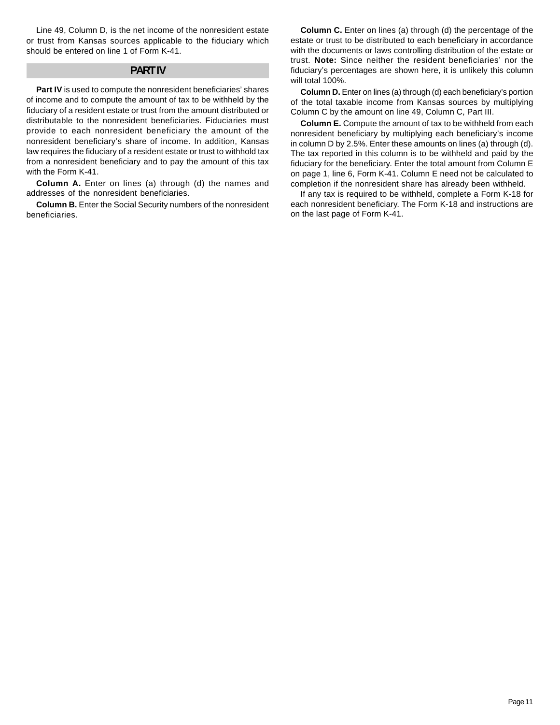Line 49, Column D, is the net income of the nonresident estate or trust from Kansas sources applicable to the fiduciary which should be entered on line 1 of Form K-41.

#### **PART IV**

**Part IV** is used to compute the nonresident beneficiaries' shares of income and to compute the amount of tax to be withheld by the fiduciary of a resident estate or trust from the amount distributed or distributable to the nonresident beneficiaries. Fiduciaries must provide to each nonresident beneficiary the amount of the nonresident beneficiary's share of income. In addition, Kansas law requires the fiduciary of a resident estate or trust to withhold tax from a nonresident beneficiary and to pay the amount of this tax with the Form K-41.

**Column A.** Enter on lines (a) through (d) the names and addresses of the nonresident beneficiaries.

**Column B.** Enter the Social Security numbers of the nonresident beneficiaries.

**Column C.** Enter on lines (a) through (d) the percentage of the estate or trust to be distributed to each beneficiary in accordance with the documents or laws controlling distribution of the estate or trust. **Note:** Since neither the resident beneficiaries' nor the fiduciary's percentages are shown here, it is unlikely this column will total 100%.

**Column D.** Enter on lines (a) through (d) each beneficiary's portion of the total taxable income from Kansas sources by multiplying Column C by the amount on line 49, Column C, Part III.

**Column E.** Compute the amount of tax to be withheld from each nonresident beneficiary by multiplying each beneficiary's income in column D by 2.5%. Enter these amounts on lines (a) through (d). The tax reported in this column is to be withheld and paid by the fiduciary for the beneficiary. Enter the total amount from Column E on page 1, line 6, Form K-41. Column E need not be calculated to completion if the nonresident share has already been withheld.

If any tax is required to be withheld, complete a Form K-18 for each nonresident beneficiary. The Form K-18 and instructions are on the last page of Form K-41.